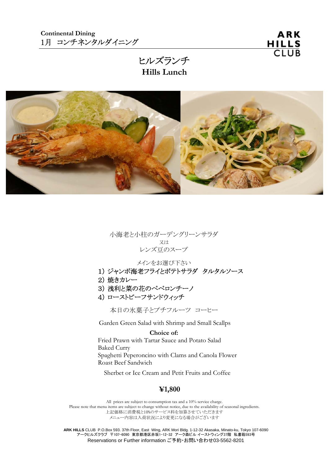ヒルズランチ **Hills Lunch** 



小海老と小柱のガーデングリーンサラダ 又は レンズ豆のスープ

メインをお選び下さい

- 1) ジャンボ海老フライとポテトサラダ タルタルソース
- 2) 焼きカレー
- 3) 浅利と菜の花のペペロンチーノ
- 4) ローストビーフサンドウィッチ

本日の氷菓子とプチフルーツ コーヒー

Garden Green Salad with Shrimp and Small Scallps

#### **Choice of:**

 Fried Prawn with Tartar Sauce and Potato Salad Baked Curry Spaghetti Peperoncino with Clams and Canola Flower Roast Beef Sandwich

Sherbet or Ice Cream and Petit Fruits and Coffee

#### **¥1,800**

All prices are subject to consumption tax and a 10% service charge. Please note that menu items are subject to change without notice, due to the availability of seasonal ingredients. 上記価格に消費税と10%のサービス料を加算させていただきます メニュー内容は入荷状況により変更になる場合がございます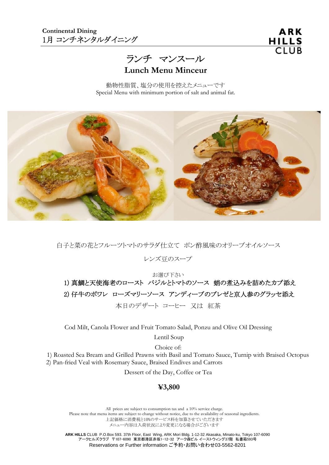ランチ マンスール

**Lunch Menu Minceur**

動物性脂質、塩分の使用を控えたメニューです Special Menu with minimum portion of salt and animal fat.



白子と菜の花とフルーツトマトのサラダ仕立て ポン酢風味のオリーブオイルソース

レンズ豆のスープ

お選び下さい 1) 真鯛と天使海老のロースト バジルとトマトのソース 蛸の煮込みを詰めたカブ添え 2) 仔牛のポワレ ローズマリーソース アンディーブのブレゼと京人参のグラッセ添え 本日のデザート コーヒー 又は 紅茶

Cod Milt, Canola Flower and Fruit Tomato Salad, Ponzu and Olive Oil Dressing

Lentil Soup

Choice of:

 1) Roasted Sea Bream and Grilled Prawns with Basil and Tomato Sauce, Turnip with Braised Octopus 2) Pan-fried Veal with Rosemary Sauce, Braised Endives and Carrots

Dessert of the Day, Coffee or Tea

#### **¥3,800**

All prices are subject to consumption tax and a 10% service charge. Please note that menu items are subject to change without notice, due to the availability of seasonal ingredients. 上記価格に消費税と10%のサービス料を加算させていただきます メニュー内容は入荷状況により変更になる場合がございます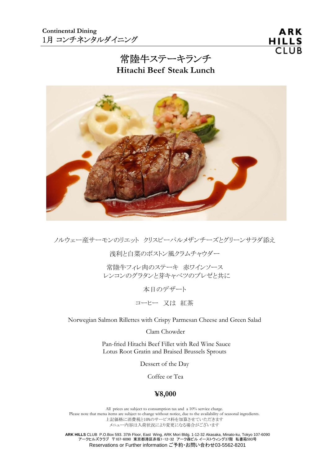# 常陸牛ステーキランチ **Hitachi Beef Steak Lunch**



ノルウェー産サーモンのリエット クリスピーパルメザンチーズとグリーンサラダ添え

浅利と白菜のボストン風クラムチャウダー

常陸牛フィレ肉のステーキ 赤ワインソース レンコンのグラタンと芽キャベツのブレゼと共に

本日のデザート

コーヒー 又は 紅茶

Norwegian Salmon Rillettes with Crispy Parmesan Cheese and Green Salad

Clam Chowder

 Pan-fried Hitachi Beef Fillet with Red Wine Sauce Lotus Root Gratin and Braised Brussels Sprouts

Dessert of the Day

Coffee or Tea

#### **¥8,000**

All prices are subject to consumption tax and a 10% service charge. Please note that menu items are subject to change without notice, due to the availability of seasonal ingredients. 上記価格に消費税と10%のサービス料を加算させていただきます メニュー内容は入荷状況により変更になる場合がございます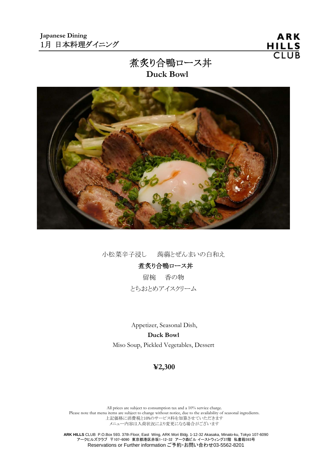ARK HILLS<br>CLUB

# 煮炙り合鴨ロース丼 **Duck Bowl**



小松菜辛子浸し 蒟蒻とぜんまいの白和え

# 煮炙り合鴨ロース丼

留椀 香の物 とちおとめアイスクリーム

 Appetizer, Seasonal Dish, **Duck Bowl**  Miso Soup, Pickled Vegetables, Dessert

### **¥2,300**

All prices are subject to consumption tax and a 10% service charge. Please note that menu items are subject to change without notice, due to the availability of seasonal ingredients. 上記価格に消費税と10%のサービス料を加算させていただきます メニュー内容は入荷状況により変更になる場合がございます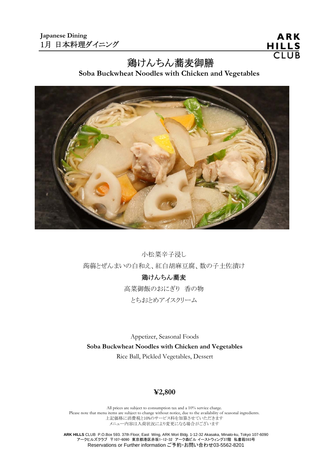ARK HILLS<br>CLUB

# 鶏けんちん蕎麦御膳

 **Soba Buckwheat Noodles with Chicken and Vegetables** 



小松菜辛子浸し 蒟蒻とぜんまいの白和え、紅白胡麻豆腐、数の子土佐漬け

鶏けんちん蕎麦 高菜御飯のおにぎり 香の物 とちおとめアイスクリーム

 Appetizer, Seasonal Foods  **Soba Buckwheat Noodles with Chicken and Vegetables** Rice Ball, Pickled Vegetables, Dessert

# **¥2,800**

All prices are subject to consumption tax and a 10% service charge. Please note that menu items are subject to change without notice, due to the availability of seasonal ingredients. 上記価格に消費税と10%のサービス料を加算させていただきます メニュー内容は入荷状況により変更になる場合がございます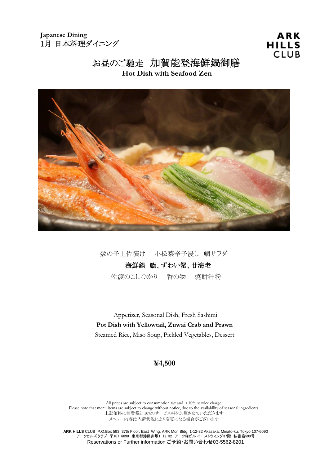# お昼のご馳走 加賀能登海鮮鍋御膳

**Hot Dish with Seafood Zen** 



数の子土佐漬け 小松菜辛子浸し 鯛サラダ

# 海鮮鍋 鰤、ずわい蟹、甘海老

佐渡のこしひかり 香の物 焼餅汁粉

 Appetizer, Seasonal Dish, Fresh Sashimi  **Pot Dish with Yellowtail, Zuwai Crab and Prawn**  Steamed Rice, Miso Soup, Pickled Vegetables, Dessert

#### **¥4,500**

All prices are subject to consumption tax and a 10% service charge. Please note that menu items are subject to change without notice, due to the availability of seasonal ingredients. 上記価格に消費税と 10%のサービス料を加算させていただきます メニュー内容は入荷状況により変更になる場合がございます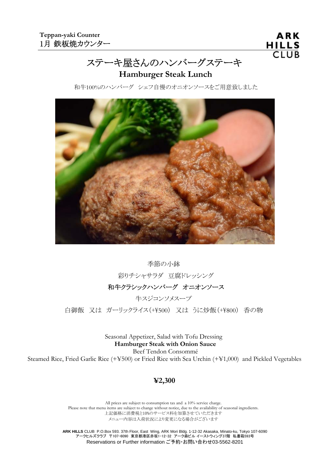# ステーキ屋さんのハンバーグステーキ

### **Hamburger Steak Lunch**

和牛100%のハンバーグ シェフ自慢のオニオンソースをご用意致しました



季節の小鉢 彩りチシャサラダ 豆腐ドレッシング 和牛クラシックハンバーグ オニオンソース 牛スジコンソメスープ 白御飯 又は ガーリックライス (+\500) 又は うに炒飯 (+\800) 香の物

> Seasonal Appetizer, Salad with Tofu Dressing  **Hamburger Steak with Onion Sauce**

Beef Tendon Consommé

Steamed Rice, Fried Garlic Rice (+¥500) or Fried Rice with Sea Urchin (+¥1,000) and Pickled Vegetables

# **¥2,300**

All prices are subject to consumption tax and a 10% service charge. Please note that menu items are subject to change without notice, due to the availability of seasonal ingredients. 上記価格に消費税と10%のサービス料を加算させていただきます メニュー内容は入荷状況により変更になる場合がございます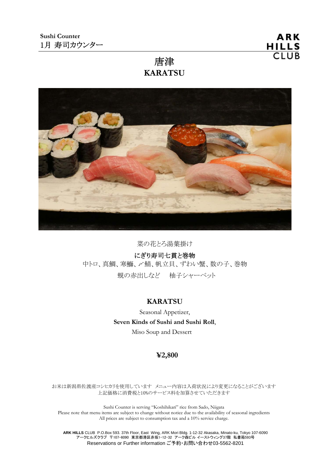# 唐津 **KARATSU**



菜の花とろ湯葉掛け

にぎり寿司七貫と巻物

中トロ、真鯛、寒鰤、〆鯖、帆立貝、ずわい蟹、数の子、巻物

蜆の赤出しなど 柚子シャーベット

# **KARATSU**

Seasonal Appetizer, **Seven Kinds of Sushi and Sushi Roll**, Miso Soup and Dessert

# **¥2,800**

お米は新潟県佐渡産コシヒカリを使用しています メニュー内容は入荷状況により変更になることがございます 上記価格に消費税と10%のサービス料を加算させていただきます

Sushi Counter is serving "Koshihikari" rice from Sado, Niigata Please note that menu items are subject to change without notice due to the availability of seasonal ingredients All prices are subject to consumption tax and a 10% service charge.